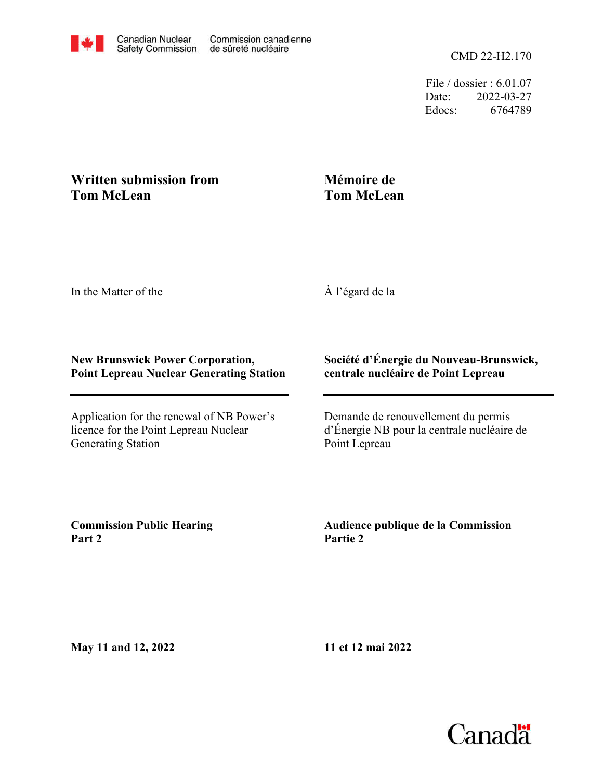File / dossier : 6.01.07 Date: 2022-03-27 Edocs: 6764789

## **Written submission from Tom McLean**

## **Mémoire de Tom McLean**

In the Matter of the

À l'égard de la

## **New Brunswick Power Corporation, Point Lepreau Nuclear Generating Station**

Application for the renewal of NB Power's licence for the Point Lepreau Nuclear Generating Station

## **Société d'Énergie du Nouveau-Brunswick, centrale nucléaire de Point Lepreau**

Demande de renouvellement du permis d'Énergie NB pour la centrale nucléaire de Point Lepreau

**Commission Public Hearing Part 2**

**Audience publique de la Commission Partie 2**

**May 11 and 12, 2022**

**11 et 12 mai 2022**

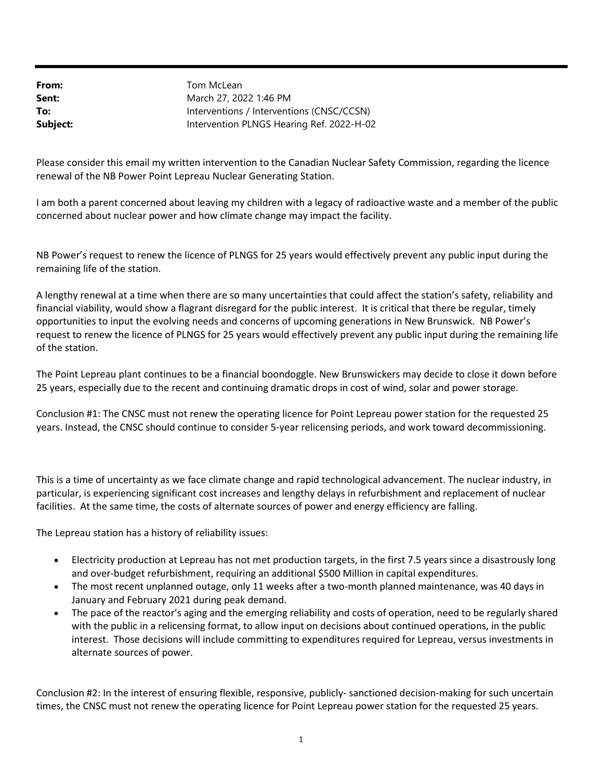From: Sent: To: Subject: Intervention PLNGS Hearing Ref. 2022-H-02 Interventions / Interventions (CNSC/CCSN) March 27, 2022 1:46 PM Tom McLean

Please consider this email my written intervention to the Canadian Nuclear Safety Commission, regarding the licence renewal of the NB Power Point Lepreau Nuclear Generating Station.

I am both a parent concerned about leaving my children with a legacy of radioactive waste and a member of the public concerned about nuclear power and how climate change may impact the facility.

NB Power's request to renew the licence of PLNGS for 25 years would effectively prevent any public input during the remaining life of the station.

A lengthy renewal at a time when there are so many uncertainties that could affect the station's safety, reliability and financial viability, would show a flagrant disregard for the public interest. It is critical that there be regular, timely opportunities to input the evolving needs and concerns of upcoming generations in New Brunswick. NB Power's request to renew the licence of PLNGS for 25 years would effectively prevent any public input during the remaining life of the station.

The Point Lepreau plant continues to be a financial boondoggle. New Brunswickers may decide to close it down before 25 years, especially due to the recent and continuing dramatic drops in cost of wind, solar and power storage.

Conclusion #1: The CNSC must not renew the operating licence for Point Lepreau power station for the requested 25 years. Instead, the CNSC should continue to consider 5-year relicensing periods, and work toward decommissioning.

This is a time of uncertainty as we face climate change and rapid technological advancement. The nuclear industry, in particular, is experiencing significant cost increases and lengthy delays in refurbishment and replacement of nuclear facilities. At the same time, the costs of alternate sources of power and energy efficiency are falling.

The Lepreau station has a history of reliability issues:

- Electricity production at Lepreau has not met production targets, in the first 7.5 years since a disastrously long and over-budget refurbishment, requiring an additional \$500 Million in capital expenditures.
- The most recent unplanned outage, only 11 weeks after a two-month planned maintenance, was 40 days in January and February 2021 during peak demand.
- The pace of the reactor's aging and the emerging reliability and costs of operation, need to be regularly shared with the public in a relicensing format, to allow input on decisions about continued operations, in the public interest. Those decisions will include committing to expenditures required for Lepreau, versus investments in alternate sources of power.

Conclusion #2: In the interest of ensuring flexible, responsive, publicly- sanctioned decision-making for such uncertain times, the CNSC must not renew the operating licence for Point Lepreau power station for the requested 25 years.